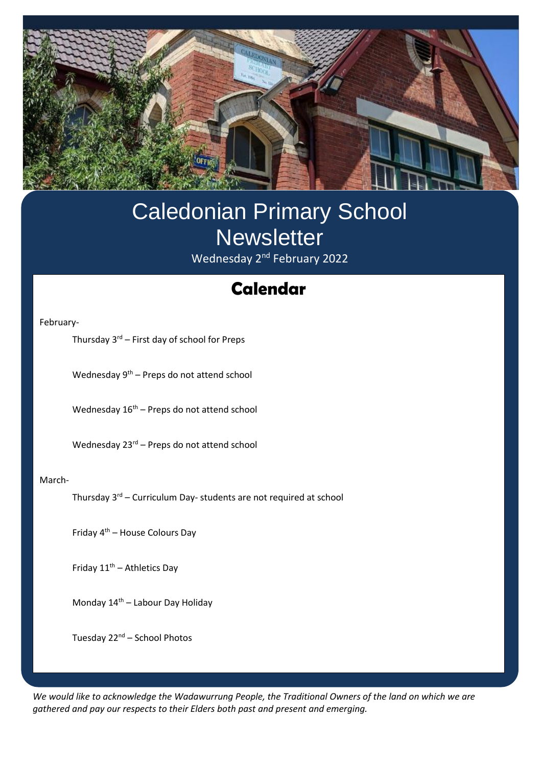

# Caledonian Primary School **Newsletter** Wednesday 2<sup>nd</sup> February 2022

# **Swimming Calendar**

February-

Thursday  $3^{rd}$  – First day of school for Preps

Wednesday 9th – Preps do not attend school

Wednesday  $16<sup>th</sup>$  – Preps do not attend school

Wednesday 23<sup>rd</sup> – Preps do not attend school

#### March-

Thursday 3rd – Curriculum Day- students are not required at school

Friday 4th – House Colours Day

Friday 11<sup>th</sup> – Athletics Day

Monday 14th – Labour Day Holiday

Tuesday 22<sup>nd</sup> – School Photos

*We would like to acknowledge the Wadawurrung People, the Traditional Owners of the land on which we are gathered and pay our respects to their Elders both past and present and emerging.*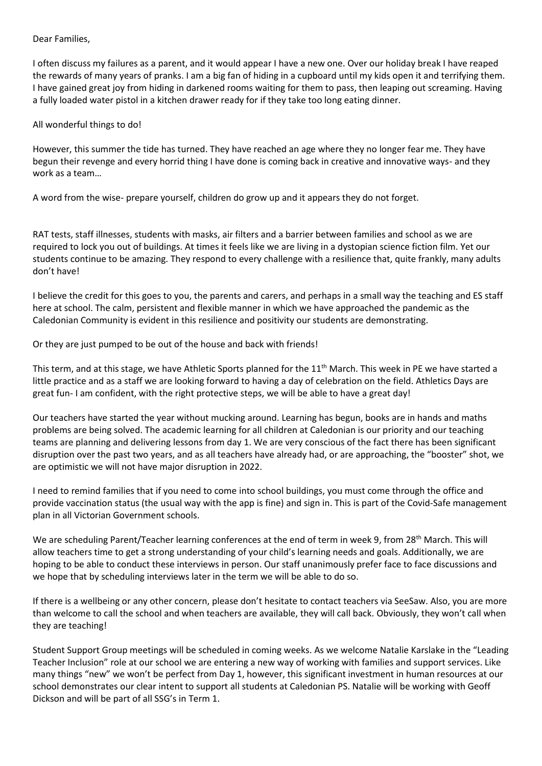#### Dear Families,

I often discuss my failures as a parent, and it would appear I have a new one. Over our holiday break I have reaped the rewards of many years of pranks. I am a big fan of hiding in a cupboard until my kids open it and terrifying them. I have gained great joy from hiding in darkened rooms waiting for them to pass, then leaping out screaming. Having a fully loaded water pistol in a kitchen drawer ready for if they take too long eating dinner.

#### All wonderful things to do!

However, this summer the tide has turned. They have reached an age where they no longer fear me. They have begun their revenge and every horrid thing I have done is coming back in creative and innovative ways- and they work as a team…

A word from the wise- prepare yourself, children do grow up and it appears they do not forget.

RAT tests, staff illnesses, students with masks, air filters and a barrier between families and school as we are required to lock you out of buildings. At times it feels like we are living in a dystopian science fiction film. Yet our students continue to be amazing. They respond to every challenge with a resilience that, quite frankly, many adults don't have!

I believe the credit for this goes to you, the parents and carers, and perhaps in a small way the teaching and ES staff here at school. The calm, persistent and flexible manner in which we have approached the pandemic as the Caledonian Community is evident in this resilience and positivity our students are demonstrating.

Or they are just pumped to be out of the house and back with friends!

This term, and at this stage, we have Athletic Sports planned for the 11<sup>th</sup> March. This week in PE we have started a little practice and as a staff we are looking forward to having a day of celebration on the field. Athletics Days are great fun- I am confident, with the right protective steps, we will be able to have a great day!

Our teachers have started the year without mucking around. Learning has begun, books are in hands and maths problems are being solved. The academic learning for all children at Caledonian is our priority and our teaching teams are planning and delivering lessons from day 1. We are very conscious of the fact there has been significant disruption over the past two years, and as all teachers have already had, or are approaching, the "booster" shot, we are optimistic we will not have major disruption in 2022.

I need to remind families that if you need to come into school buildings, you must come through the office and provide vaccination status (the usual way with the app is fine) and sign in. This is part of the Covid-Safe management plan in all Victorian Government schools.

We are scheduling Parent/Teacher learning conferences at the end of term in week 9, from 28<sup>th</sup> March. This will allow teachers time to get a strong understanding of your child's learning needs and goals. Additionally, we are hoping to be able to conduct these interviews in person. Our staff unanimously prefer face to face discussions and we hope that by scheduling interviews later in the term we will be able to do so.

If there is a wellbeing or any other concern, please don't hesitate to contact teachers via SeeSaw. Also, you are more than welcome to call the school and when teachers are available, they will call back. Obviously, they won't call when they are teaching!

Student Support Group meetings will be scheduled in coming weeks. As we welcome Natalie Karslake in the "Leading Teacher Inclusion" role at our school we are entering a new way of working with families and support services. Like many things "new" we won't be perfect from Day 1, however, this significant investment in human resources at our school demonstrates our clear intent to support all students at Caledonian PS. Natalie will be working with Geoff Dickson and will be part of all SSG's in Term 1.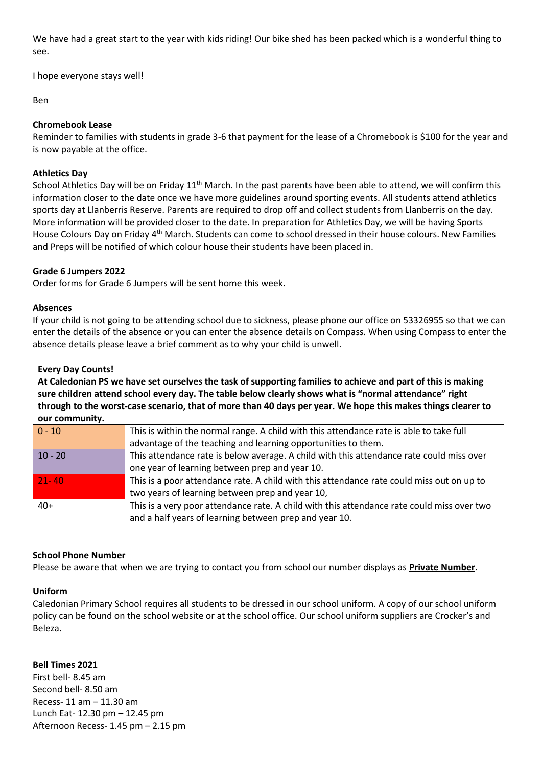We have had a great start to the year with kids riding! Our bike shed has been packed which is a wonderful thing to see.

I hope everyone stays well!

## Ben

## **Chromebook Lease**

Reminder to families with students in grade 3-6 that payment for the lease of a Chromebook is \$100 for the year and is now payable at the office.

## **Athletics Day**

School Athletics Day will be on Friday  $11^{th}$  March. In the past parents have been able to attend, we will confirm this information closer to the date once we have more guidelines around sporting events. All students attend athletics sports day at Llanberris Reserve. Parents are required to drop off and collect students from Llanberris on the day. More information will be provided closer to the date. In preparation for Athletics Day, we will be having Sports House Colours Day on Friday 4<sup>th</sup> March. Students can come to school dressed in their house colours. New Families and Preps will be notified of which colour house their students have been placed in.

### **Grade 6 Jumpers 2022**

Order forms for Grade 6 Jumpers will be sent home this week.

#### **Absences**

If your child is not going to be attending school due to sickness, please phone our office on 53326955 so that we can enter the details of the absence or you can enter the absence details on Compass. When using Compass to enter the absence details please leave a brief comment as to why your child is unwell.

#### **Every Day Counts!**

**At Caledonian PS we have set ourselves the task of supporting families to achieve and part of this is making sure children attend school every day. The table below clearly shows what is "normal attendance" right through to the worst-case scenario, that of more than 40 days per year. We hope this makes things clearer to our community.**

| $  0 - 10$ | This is within the normal range. A child with this attendance rate is able to take full    |
|------------|--------------------------------------------------------------------------------------------|
|            | advantage of the teaching and learning opportunities to them.                              |
| $10 - 20$  | This attendance rate is below average. A child with this attendance rate could miss over   |
|            | one year of learning between prep and year 10.                                             |
| $21 - 40$  | This is a poor attendance rate. A child with this attendance rate could miss out on up to  |
|            | two years of learning between prep and year 10,                                            |
| $40+$      | This is a very poor attendance rate. A child with this attendance rate could miss over two |
|            | and a half years of learning between prep and year 10.                                     |
|            |                                                                                            |

#### **School Phone Number**

Please be aware that when we are trying to contact you from school our number displays as **Private Number**.

#### **Uniform**

Caledonian Primary School requires all students to be dressed in our school uniform. A copy of our school uniform policy can be found on the school website or at the school office. Our school uniform suppliers are Crocker's and Beleza.

#### **Bell Times 2021**

First bell- 8.45 am Second bell- 8.50 am Recess- 11 am – 11.30 am Lunch Eat- 12.30 pm – 12.45 pm Afternoon Recess- 1.45 pm – 2.15 pm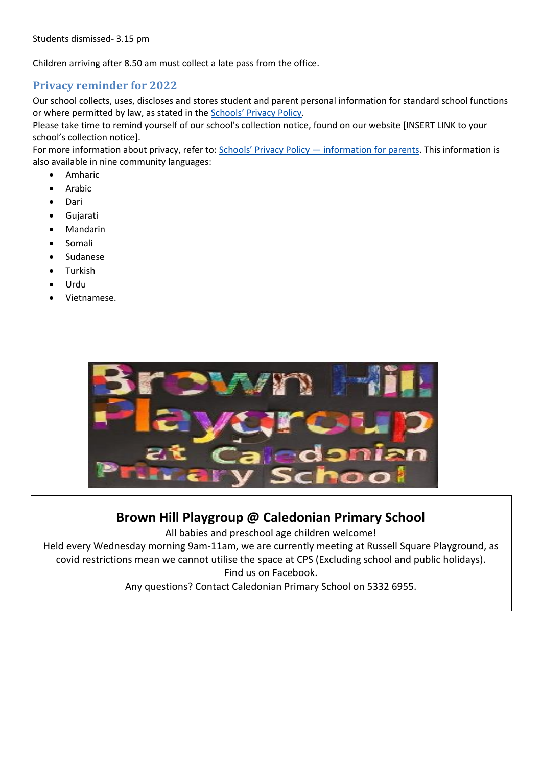Children arriving after 8.50 am must collect a late pass from the office.

## **Privacy reminder for 2022**

Our school collects, uses, discloses and stores student and parent personal information for standard school functions or where permitted by law, as stated in the [Schools' Privacy Policy](https://www.education.vic.gov.au/Pages/schoolsprivacypolicy.aspx).

Please take time to remind yourself of our school's collection notice, found on our website [INSERT LINK to your school's collection notice].

For more information about privacy, refer to: [Schools' Privacy Policy —](https://www.education.vic.gov.au/Pages/Schools-Privacy-Policy-information-for-parents.aspx) information for parents. This information is also available in nine community languages:

- Amharic
- **Arabic**
- Dari
- Gujarati
- Mandarin
- Somali
- Sudanese
- **Turkish**
- Urdu
- Vietnamese.



# **Brown Hill Playgroup @ Caledonian Primary School**

All babies and preschool age children welcome!

Held every Wednesday morning 9am-11am, we are currently meeting at Russell Square Playground, as covid restrictions mean we cannot utilise the space at CPS (Excluding school and public holidays). Find us on Facebook.

Any questions? Contact Caledonian Primary School on 5332 6955.